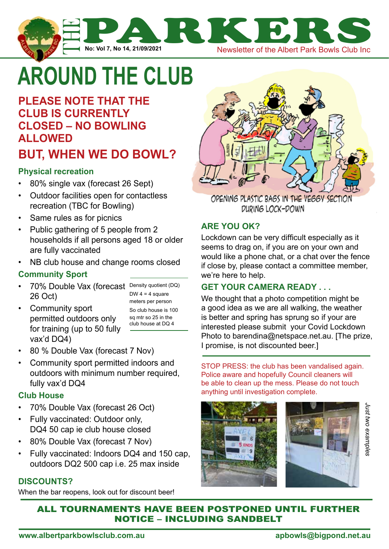

# **around the club**

# **please note that the club is currently closed – no bowling allowed BUT, when we do bowl?**

#### **Physical recreation**

- 80% single vax (forecast 26 Sept)
- Outdoor facilities open for contactless recreation (TBC for Bowling)
- Same rules as for picnics
- Public gathering of 5 people from 2 households if all persons aged 18 or older are fully vaccinated
- NB club house and change rooms closed

#### **Community Sport**

• 70% Double Vax (forecast Density quotient (DQ) 26 Oct)

DW  $4 = 4$  square meters per person So club house is 100 sq mtr so 25 in the club house at DQ 4

• Community sport permitted outdoors only for training (up to 50 fully vax'd DQ4)

• 80 % Double Vax (forecast 7 Nov)

• Community sport permitted indoors and outdoors with minimum number required, fully vax'd DQ4

#### **Club House**

- 70% Double Vax (forecast 26 Oct)
- Fully vaccinated: Outdoor only, DQ4 50 cap ie club house closed
- 80% Double Vax (forecast 7 Nov)
- Fully vaccinated: Indoors DQ4 and 150 cap, outdoors DQ2 500 cap i.e. 25 max inside

#### **discounts?**

When the bar reopens, look out for discount beer!



OPENING PLASTIC BAGS IN THE VEGGY SECTION DURING LOCK-DOWN

#### **Are you OK?**

Lockdown can be very difficult especially as it seems to drag on, if you are on your own and would like a phone chat, or a chat over the fence if close by, please contact a committee member, we're here to help.

#### **get your camera ready . . .**

We thought that a photo competition might be a good idea as we are all walking, the weather is better and spring has sprung so if your are interested please submit your Covid Lockdown Photo to barendina@netspace.net.au. [The prize, I promise, is not discounted beer.]

STOP PRESS: the club has been vandalised again. Police aware and hopefully Council cleaners will be able to clean up the mess. Please do not touch anything until investigation complete.





#### all tournaments have been postponed until further notice – including sandbelt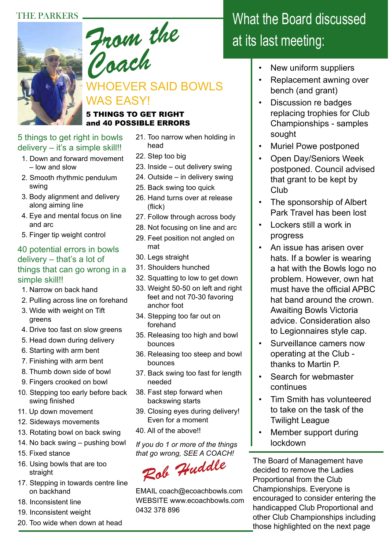#### THE PARKERS



*Coach* WHOEVER SAID BOWLS WAS EASY!

#### 5 THINGS TO GET RIGHT and 40 POSSIBLE ERRORS

#### 5 things to get right in bowls delivery - it's a simple skill!!

- 1. Down and forward movement – low and slow
- 2. Smooth rhythmic pendulum swing
- 3. Body alignment and delivery along aiming line
- 4. Eye and mental focus on line and arc
- 5. Finger tip weight control

#### 40 potential errors in bowls delivery – that's a lot of things that can go wrong in a simple skill!!

- 1. Narrow on back hand
- 2. Pulling across line on forehand
- 3. Wide with weight on Tift greens
- 4. Drive too fast on slow greens
- 5. Head down during delivery
- 6. Starting with arm bent
- 7. Finishing with arm bent
- 8. Thumb down side of bowl
- 9. Fingers crooked on bowl
- 10. Stepping too early before back swing finished
- 11. Up down movement
- 12. Sideways movements
- 13. Rotating bowl on back swing
- 14. No back swing pushing bowl
- 15. Fixed stance
- 16. Using bowls that are too straight
- 17. Stepping in towards centre line on backhand
- 18. Inconsistent line
- 19. Inconsistent weight
- 20. Too wide when down at head
- 21. Too narrow when holding in head
- 22. Step too big
- 23. Inside out delivery swing
- 24. Outside in delivery swing
- 25. Back swing too quick
- 26. Hand turns over at release (flick)
- 27. Follow through across body
- 28. Not focusing on line and arc
- 29. Feet position not angled on mat
- 30. Legs straight
- 31. Shoulders hunched
- 32. Squatting to low to get down
- 33. Weight 50-50 on left and right feet and not 70-30 favoring anchor foot
- 34. Stepping too far out on forehand
- 35. Releasing too high and bowl bounces
- 36. Releasing too steep and bowl bounces
- 37. Back swing too fast for length needed
- 38. Fast step forward when backswing starts
- 39. Closing eyes during delivery! Even for a moment
- 40. All of the above!!

*If you do 1 or more of the things that go wrong, SEE A COACH!*

*Rob Huddle*

EMAIL coach@ecoachbowls.com WEBSITE www.ecoachbowls.com 0432 378 896

# What the Board discussed at its last meeting:

- New uniform suppliers
- Replacement awning over bench (and grant)
- Discussion re badges replacing trophies for Club Championships - samples sought
- Muriel Powe postponed
- Open Day/Seniors Week postponed. Council advised that grant to be kept by Club
- The sponsorship of Albert Park Travel has been lost
- Lockers still a work in progress
- An issue has arisen over hats. If a bowler is wearing a hat with the Bowls logo no problem. However, own hat must have the official APBC hat band around the crown. Awaiting Bowls Victoria advice. Consideration also to Legionnaires style cap.
- Surveillance camers now operating at the Club thanks to Martin P.
- Search for webmaster continues
- Tim Smith has volunteered to take on the task of the Twilight League
- Member support during lockdown

The Board of Management have decided to remove the Ladies Proportional from the Club Championships. Everyone is encouraged to consider entering the handicapped Club Proportional and other Club Championships including those highlighted on the next page